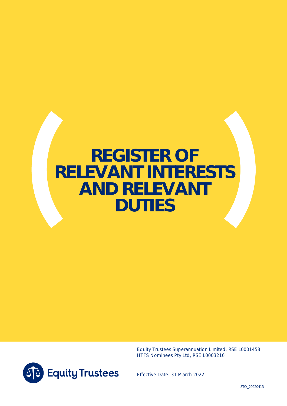# **REGISTER OF RELEVANT INTERESTS AND RELEVANT DUTIES**

Equity Trustees Superannuation Limited, RSE L0001458 HTFS Nominees Pty Ltd, RSE L0003216



Effective Date: 31 March 2022

STO\_20220413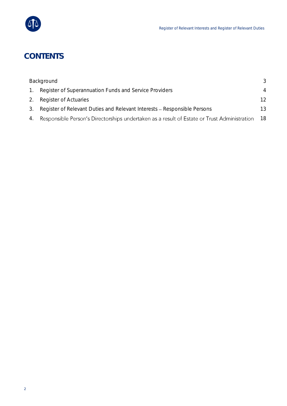

# **CONTENTS**

|    | Background                                                                                  | 3  |
|----|---------------------------------------------------------------------------------------------|----|
|    | Register of Superannuation Funds and Service Providers                                      | 4  |
| 2. | <b>Register of Actuaries</b>                                                                | 12 |
| 3. | Register of Relevant Duties and Relevant Interests – Responsible Persons                    | 13 |
| 4. | Responsible Person's Directorships undertaken as a result of Estate or Trust Administration | 18 |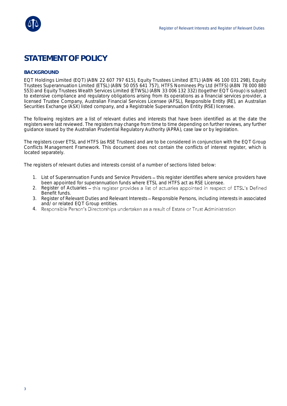

## **STATEMENT OF POLICY**

#### <span id="page-2-0"></span>**BACKGROUND**

EQT Holdings Limited (EQT) (ABN 22 607 797 615), Equity Trustees Limited (ETL) (ABN 46 100 031 298), Equity Trustees Superannuation Limited (ETSL) (ABN 50 055 641 757), HTFS Nominees Pty Ltd (HTFS) (ABN 78 000 880 553) and Equity Trustees Wealth Services Limited (ETWSL) (ABN 33 006 132 332) (together EQT Group) is subject to extensive compliance and regulatory obligations arising from its operations as a financial services provider, a licensed Trustee Company, Australian Financial Services Licensee (AFSL), Responsible Entity (RE), an Australian Securities Exchange (ASX) listed company, and a Registrable Superannuation Entity (RSE) licensee.

The following registers are a list of relevant duties and interests that have been identified as at the date the registers were last reviewed. The registers may change from time to time depending on further reviews, any further guidance issued by the Australian Prudential Regulatory Authority (APRA), case law or by legislation.

The registers cover ETSL and HTFS (as RSE Trustees) and are to be considered in conjunction with the EQT Group Conflicts Management Framework. This document does not contain the conflicts of interest register, which is located separately.

The registers of relevant duties and interests consist of a number of sections listed below:

- 1. List of Superannuation Funds and Service Providers this register identifies where service providers have been appointed for superannuation funds where ETSL and HTFS act as RSE Licensee.
- 2. Register of Actuaries this register provides a list of actuaries appointed in respect of ETSL's Defined Benefit funds.
- 3. Register of Relevant Duties and Relevant Interests Responsible Persons, including interests in associated and/ or related EQT Group entities.
- 4. Responsible Person's Directorships undertaken as a result of Estate or Trust Administration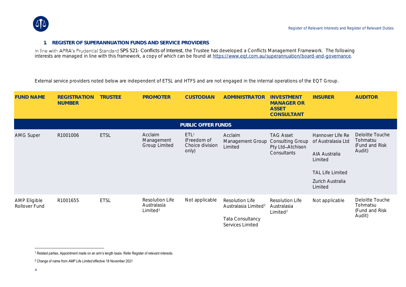

#### **1. REGISTER OF SUPERANNUATION FUNDS AND SERVICE PROVIDERS**

*SPS 521- Conflicts of Interest*, the Trustee has developed a Conflicts Management Framework. The following interests are managed in line with this framework, a copy of which can be found at <u>https://www.eqt.com.au/superannuation/board-and-governance</u>.

External service providers noted below are independent of ETSL and HTFS and are not engaged in the internal operations of the EQT Group.

<span id="page-3-0"></span>

| <b>FUND NAME</b>                     | <b>REGISTRATION</b><br><b>NUMBER</b> | <b>TRUSTEE</b> | <b>PROMOTER</b>                                               | <b>CUSTODIAN</b>                                            | ADMINISTRATOR                                              | <b>INVESTMENT</b><br><b>MANAGER OR</b><br><b>ASSET</b><br>CONSULTANT           | <b>INSURER</b>                         | <b>AUDITOR</b>                                           |
|--------------------------------------|--------------------------------------|----------------|---------------------------------------------------------------|-------------------------------------------------------------|------------------------------------------------------------|--------------------------------------------------------------------------------|----------------------------------------|----------------------------------------------------------|
|                                      |                                      |                |                                                               | PUBLIC OFFER FUNDS                                          |                                                            |                                                                                |                                        |                                                          |
| <b>AMG Super</b>                     | R1001006                             | <b>ETSL</b>    | Acclaim<br>Management<br><b>Group Limited</b>                 | ETL <sup>1</sup><br>(Freedom of<br>Choice division<br>only) | Acclaim<br>Management Group<br>Limited                     | <b>TAG Asset</b><br><b>Consulting Group</b><br>Pty Ltd-Atchison<br>Consultants | Hannover Life Re<br>of Australasia Ltd | Deloitte Touche<br>Tohmatsu<br>(Fund and Risk<br>Audit)  |
|                                      |                                      |                |                                                               |                                                             |                                                            |                                                                                | AIA Australia<br>Limited               |                                                          |
|                                      |                                      |                |                                                               |                                                             |                                                            |                                                                                | <b>TAL Life Limited</b>                |                                                          |
|                                      |                                      |                |                                                               |                                                             |                                                            |                                                                                | Zurich Australia<br>Limited            |                                                          |
| <b>AMP Eligible</b><br>Rollover Fund | R1001655                             | <b>ETSL</b>    | <b>Resolution Life</b><br>Australasia<br>Limited <sup>2</sup> | Not applicable                                              | <b>Resolution Life</b><br>Australasia Limited <sup>2</sup> | <b>Resolution Life</b><br>Australasia<br>Limited <sup>2</sup>                  | Not applicable                         | Deloitte Touche<br>Tohmatsu<br>(Fund and Risk)<br>Audit) |
|                                      |                                      |                |                                                               |                                                             | Tata Consultancy<br>Services Limited                       |                                                                                |                                        |                                                          |

<sup>&</sup>lt;sup>1</sup> Related parties. Appointment made on an arm's length basis. Refer Register of relevant interests.

<sup>2</sup> Change of name from *AMP Life Limited* effective 18 November 2021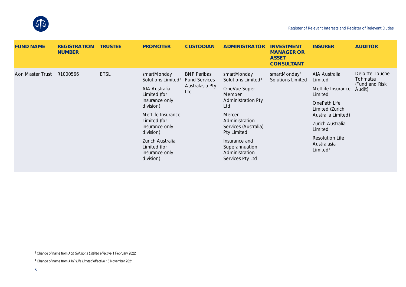

| <b>FUND NAME</b> | <b>REGISTRATION</b><br><b>NUMBER</b> | <b>TRUSTEE</b> | <b>PROMOTER</b>                                                                                                                                                                                                                                      | <b>CUSTODIAN</b>                                                     | ADMINISTRATOR                                                                                                                                                                                                                                           | <b>INVESTMENT</b><br><b>MANAGER OR</b><br><b>ASSET</b><br>CONSULTANT | <b>INSURER</b>                                                                                                                                                                                                    | <b>AUDITOR</b>                                          |
|------------------|--------------------------------------|----------------|------------------------------------------------------------------------------------------------------------------------------------------------------------------------------------------------------------------------------------------------------|----------------------------------------------------------------------|---------------------------------------------------------------------------------------------------------------------------------------------------------------------------------------------------------------------------------------------------------|----------------------------------------------------------------------|-------------------------------------------------------------------------------------------------------------------------------------------------------------------------------------------------------------------|---------------------------------------------------------|
| Aon Master Trust | R1000566                             | <b>ETSL</b>    | smartMonday<br>Solutions Limited <sup>3</sup><br>AIA Australia<br>Limited (for<br>insurance only<br>division)<br>MetLife Insurance<br>Limited (for<br>insurance only<br>division)<br>Zurich Australia<br>Limited (for<br>insurance only<br>division) | <b>BNP Paribas</b><br><b>Fund Services</b><br>Australasia Pty<br>Ltd | smartMonday<br>Solutions Limited <sup>3</sup><br>OneVue Super<br>Member<br><b>Administration Pty</b><br>Ltd<br>Mercer<br>Administration<br>Services (Australia)<br>Pty Limited<br>Insurance and<br>Superannuation<br>Administration<br>Services Pty Ltd | smartMonday <sup>3</sup><br><b>Solutions Limited</b>                 | AIA Australia<br>Limited<br>MetLife Insurance<br>Limited<br>OnePath Life<br>Limited (Zurich<br>Australia Limited)<br>Zurich Australia<br>Limited<br><b>Resolution Life</b><br>Australasia<br>Limited <sup>4</sup> | Deloitte Touche<br>Tohmatsu<br>(Fund and Risk<br>Audit) |

<sup>3</sup> Change of name from *Aon Solutions Limited* effective 1 February 2022

<sup>4</sup> Change of name from *AMP Life Limited* effective 18 November 2021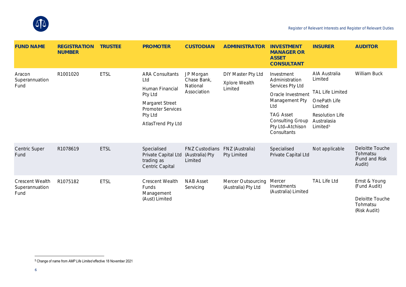

| <b>FUND NAME</b>                          | <b>REGISTRATION</b><br><b>NUMBER</b> | <b>TRUSTEE</b> | <b>PROMOTER</b>                                                                                                                             | <b>CUSTODIAN</b>                                    | <b>ADMINISTRATOR</b>                           | <b>INVESTMENT</b><br><b>MANAGER OR</b><br><b>ASSET</b><br>CONSULTANT                                                                                                             | <b>INSURER</b>                                                                                                                                  | <b>AUDITOR</b>                                                               |
|-------------------------------------------|--------------------------------------|----------------|---------------------------------------------------------------------------------------------------------------------------------------------|-----------------------------------------------------|------------------------------------------------|----------------------------------------------------------------------------------------------------------------------------------------------------------------------------------|-------------------------------------------------------------------------------------------------------------------------------------------------|------------------------------------------------------------------------------|
| Aracon<br>Superannuation<br>Fund          | R1001020                             | <b>ETSL</b>    | <b>ARA Consultants</b><br>Ltd<br>Human Financial<br>Pty Ltd<br>Margaret Street<br><b>Promoter Services</b><br>Pty Ltd<br>AtlasTrend Pty Ltd | JP Morgan<br>Chase Bank,<br>National<br>Association | DIY Master Pty Ltd<br>Xplore Wealth<br>Limited | Investment<br>Administration<br>Services Pty Ltd<br>Oracle Investment<br>Management Pty<br>Ltd<br><b>TAG Asset</b><br><b>Consulting Group</b><br>Pty Ltd-Atchison<br>Consultants | AIA Australia<br>Limited<br><b>TAL Life Limited</b><br>OnePath Life<br>Limited<br><b>Resolution Life</b><br>Australasia<br>Limited <sup>5</sup> | William Buck                                                                 |
| <b>Centric Super</b><br>Fund              | R1078619                             | <b>ETSL</b>    | Specialised<br>Private Capital Ltd<br>trading as<br>Centric Capital                                                                         | <b>FNZ Custodians</b><br>(Australia) Pty<br>Limited | FNZ (Australia)<br>Pty Limited                 | Specialised<br>Private Capital Ltd                                                                                                                                               | Not applicable                                                                                                                                  | Deloitte Touche<br>Tohmatsu<br>(Fund and Risk<br>Audit)                      |
| Crescent Wealth<br>Superannuation<br>Fund | R1075182                             | <b>ETSL</b>    | Crescent Wealth<br><b>Funds</b><br>Management<br>(Aust) Limited                                                                             | <b>NAB Asset</b><br>Servicing                       | Mercer Outsourcing<br>(Australia) Pty Ltd      | Mercer<br>Investments<br>(Australia) Limited                                                                                                                                     | <b>TAL Life Ltd</b>                                                                                                                             | Ernst & Young<br>(Fund Audit)<br>Deloitte Touche<br>Tohmatsu<br>(Risk Audit) |

<sup>5</sup> Change of name from *AMP Life Limited* effective 18 November 2021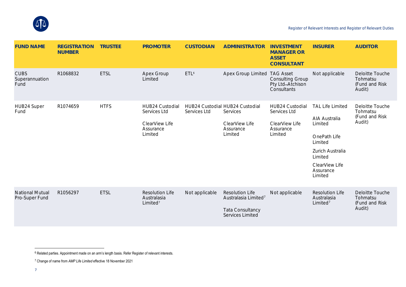

| <b>FUND NAME</b>                         | <b>REGISTRATION</b><br><b>NUMBER</b> | <b>TRUSTEE</b> | <b>PROMOTER</b>                                                           | <b>CUSTODIAN</b> | ADMINISTRATOR                                                                                             | <b>INVESTMENT</b><br><b>MANAGER OR</b><br><b>ASSET</b><br>CONSULTANT      | <b>INSURER</b>                                                                                                                                          | <b>AUDITOR</b>                                          |
|------------------------------------------|--------------------------------------|----------------|---------------------------------------------------------------------------|------------------|-----------------------------------------------------------------------------------------------------------|---------------------------------------------------------------------------|---------------------------------------------------------------------------------------------------------------------------------------------------------|---------------------------------------------------------|
| <b>CUBS</b><br>Superannuation<br>Fund    | R1068832                             | <b>ETSL</b>    | Apex Group<br>Limited                                                     | ETL <sup>6</sup> | Apex Group Limited TAG Asset                                                                              | <b>Consulting Group</b><br>Pty Ltd-Atchison<br>Consultants                | Not applicable                                                                                                                                          | Deloitte Touche<br>Tohmatsu<br>(Fund and Risk<br>Audit) |
| HUB24 Super<br>Fund                      | R1074659                             | <b>HTFS</b>    | HUB24 Custodial<br>Services Ltd<br>ClearView Life<br>Assurance<br>Limited | Services Ltd     | HUB24 Custodial HUB24 Custodial<br>Services<br>ClearView Life<br>Assurance<br>Limited                     | HUB24 Custodial<br>Services Ltd<br>ClearView Life<br>Assurance<br>Limited | <b>TAL Life Limited</b><br>AIA Australia<br>Limited<br>OnePath Life<br>Limited<br>Zurich Australia<br>Limited<br>ClearView Life<br>Assurance<br>Limited | Deloitte Touche<br>Tohmatsu<br>(Fund and Risk<br>Audit) |
| <b>National Mutual</b><br>Pro-Super Fund | R1056297                             | <b>ETSL</b>    | <b>Resolution Life</b><br>Australasia<br>Limited <sup>7</sup>             | Not applicable   | <b>Resolution Life</b><br>Australasia Limited <sup>7</sup><br>Tata Consultancy<br><b>Services Limited</b> | Not applicable                                                            | <b>Resolution Life</b><br>Australasia<br>Limited <sup>7</sup>                                                                                           | Deloitte Touche<br>Tohmatsu<br>(Fund and Risk<br>Audit) |

 $6$  Related parties. Appointment made on an arm's length basis. Refer Register of relevant interests.

<sup>7</sup> Change of name from *AMP Life Limited* effective 18 November 2021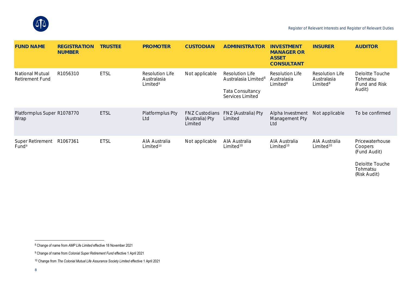

(Risk Audit)

| <b>FUND NAME</b>                          | <b>REGISTRATION</b><br><b>NUMBER</b> | <b>TRUSTEE</b> | <b>PROMOTER</b>                                        | <b>CUSTODIAN</b>                                    | ADMINISTRATOR                                                                                      | <b>INVESTMENT</b><br><b>MANAGER OR</b><br><b>ASSET</b><br>CONSULTANT | <b>INSURER</b>                                         | <b>AUDITOR</b>                                                |
|-------------------------------------------|--------------------------------------|----------------|--------------------------------------------------------|-----------------------------------------------------|----------------------------------------------------------------------------------------------------|----------------------------------------------------------------------|--------------------------------------------------------|---------------------------------------------------------------|
| <b>National Mutual</b><br>Retirement Fund | R <sub>1056310</sub>                 | <b>ETSL</b>    | Resolution Life<br>Australasia<br>Limited <sup>8</sup> | Not applicable                                      | Resolution Life<br>Australasia Limited <sup>8</sup><br><b>Tata Consultancy</b><br>Services Limited | Resolution Life<br>Australasia<br>Limited <sup>8</sup>               | Resolution Life<br>Australasia<br>Limited <sup>8</sup> | Deloitte Touche<br>Tohmatsu<br>(Fund and Risk)<br>Audit)      |
| Platformplus Super R1078770<br>Wrap       |                                      | <b>ETSL</b>    | Platformplus Pty<br>Ltd                                | <b>FNZ Custodians</b><br>(Australia) Pty<br>Limited | FNZ (Australia) Pty<br>Limited                                                                     | Alpha Investment<br>Management Pty<br>Ltd                            | Not applicable                                         | To be confirmed                                               |
| Super Retirement<br>Fund <sup>9</sup>     | R1067361                             | <b>ETSL</b>    | AIA Australia<br>Limited <sup>10</sup>                 | Not applicable                                      | AIA Australia<br>Limited <sup>10</sup>                                                             | AIA Australia<br>Limited <sup>10</sup>                               | AIA Australia<br>Limited <sup>10</sup>                 | Pricewaterhouse<br>Coopers<br>(Fund Audit)<br>Deloitte Touche |
|                                           |                                      |                |                                                        |                                                     |                                                                                                    |                                                                      |                                                        | Tohmatsu                                                      |

<sup>8</sup> Change of name from *AMP Life Limited* effective 18 November 2021

<sup>9</sup> Change of name from *Colonial Super Retirement Fund* effective 1 April 2021

<sup>10</sup> Change from *The Colonial Mutual Life Assurance Society Limited* effective 1 April 2021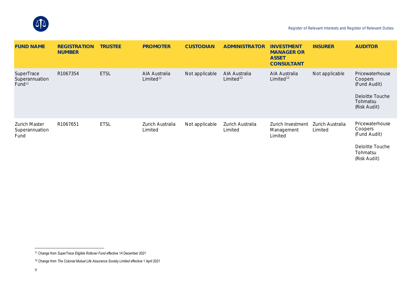

| <b>FUND NAME</b>                                          | <b>REGISTRATION</b><br><b>NUMBER</b> | <b>TRUSTEE</b> | <b>PROMOTER</b>                        | <b>CUSTODIAN</b> | ADMINISTRATOR                          | <b>INVESTMENT</b><br><b>MANAGER OR</b><br><b>ASSET</b><br>CONSULTANT | <b>INSURER</b>              | <b>AUDITOR</b>                                                                            |
|-----------------------------------------------------------|--------------------------------------|----------------|----------------------------------------|------------------|----------------------------------------|----------------------------------------------------------------------|-----------------------------|-------------------------------------------------------------------------------------------|
| <b>SuperTrace</b><br>Superannuation<br>Fund <sup>11</sup> | R1067354                             | <b>ETSL</b>    | AIA Australia<br>Limited <sup>12</sup> | Not applicable   | AIA Australia<br>Limited <sup>12</sup> | AIA Australia<br>Limited <sup>12</sup>                               | Not applicable              | Pricewaterhouse<br>Coopers<br>(Fund Audit)<br>Deloitte Touche<br>Tohmatsu<br>(Risk Audit) |
| Zurich Master<br>Superannuation<br>Fund                   | R1067651                             | <b>ETSL</b>    | Zurich Australia<br>Limited            | Not applicable   | Zurich Australia<br>Limited            | Zurich Investment<br>Management<br>Limited                           | Zurich Australia<br>Limited | Pricewaterhouse<br>Coopers<br>(Fund Audit)<br>Deloitte Touche<br>Tohmatsu<br>(Risk Audit) |

<sup>11</sup> Change from *SuperTrace Eligible Rollover Fund* effective 14 December 2021

<sup>12</sup> Change from *The Colonial Mutual Life Assurance Society Limited* effective 1 April 2021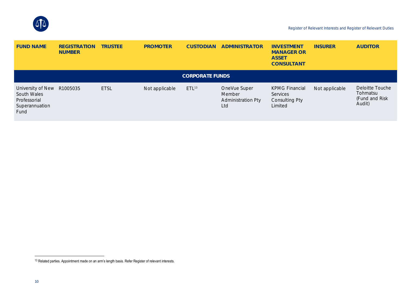

| <b>FUND NAME</b>                                                           | <b>REGISTRATION</b><br><b>NUMBER</b> | <b>TRUSTEE</b> | <b>PROMOTER</b> | <b>CUSTODIAN</b>       | ADMINISTRATOR                                              | <b>INVESTMENT</b><br><b>MANAGER OR</b><br><b>ASSET</b><br>CONSULTANT  | <b>INSURER</b> | <b>AUDITOR</b>                                          |
|----------------------------------------------------------------------------|--------------------------------------|----------------|-----------------|------------------------|------------------------------------------------------------|-----------------------------------------------------------------------|----------------|---------------------------------------------------------|
|                                                                            |                                      |                |                 | <b>CORPORATE FUNDS</b> |                                                            |                                                                       |                |                                                         |
| University of New<br>South Wales<br>Professorial<br>Superannuation<br>Fund | R1005035                             | <b>ETSL</b>    | Not applicable  | ETL13                  | OneVue Super<br>Member<br><b>Administration Pty</b><br>Ltd | <b>KPMG Financial</b><br>Services<br><b>Consulting Pty</b><br>Limited | Not applicable | Deloitte Touche<br>Tohmatsu<br>(Fund and Risk<br>Audit) |

<sup>&</sup>lt;sup>13</sup> Related parties. Appointment made on an arm's length basis. Refer Register of relevant interests.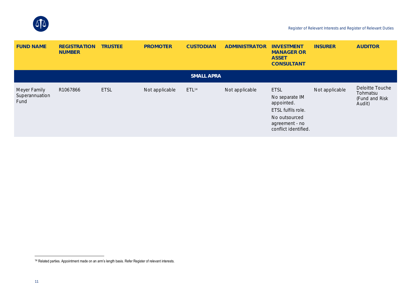

| <b>FUND NAME</b>                       | <b>REGISTRATION</b><br><b>NUMBER</b> | <b>TRUSTEE</b> | <b>PROMOTER</b> | <b>CUSTODIAN</b>  | ADMINISTRATOR  | <b>INVESTMENT</b><br><b>MANAGER OR</b><br><b>ASSET</b><br>CONSULTANT                                                         | <b>INSURER</b> | <b>AUDITOR</b>                                          |
|----------------------------------------|--------------------------------------|----------------|-----------------|-------------------|----------------|------------------------------------------------------------------------------------------------------------------------------|----------------|---------------------------------------------------------|
|                                        |                                      |                |                 | <b>SMALL APRA</b> |                |                                                                                                                              |                |                                                         |
| Meyer Family<br>Superannuation<br>Fund | R1067866                             | <b>ETSL</b>    | Not applicable  | ETL <sup>14</sup> | Not applicable | <b>ETSL</b><br>No separate IM<br>appointed.<br>ETSL fulfils role.<br>No outsourced<br>agreement - no<br>conflict identified. | Not applicable | Deloitte Touche<br>Tohmatsu<br>(Fund and Risk<br>Audit) |

<sup>&</sup>lt;sup>14</sup> Related parties. Appointment made on an arm's length basis. Refer Register of relevant interests.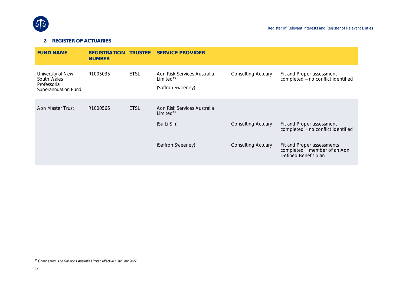

## **2. REGISTER OF ACTUARIES**

| <b>FUND NAME</b>                                                        | <b>REGISTRATION</b><br><b>NUMBER</b> | <b>TRUSTEE</b> | <b>SERVICE PROVIDER</b>                                                   |                           |                                                                                    |
|-------------------------------------------------------------------------|--------------------------------------|----------------|---------------------------------------------------------------------------|---------------------------|------------------------------------------------------------------------------------|
| University of New<br>South Wales<br>Professorial<br>Superannuation Fund | R1005035                             | <b>ETSL</b>    | Aon Risk Services Australia<br>Limited <sup>15</sup><br>(Saffron Sweeney) | <b>Consulting Actuary</b> | Fit and Proper assessment<br>completed - no conflict identified                    |
| Aon Master Trust                                                        | R1000566                             | <b>ETSL</b>    | Aon Risk Services Australia<br>Limited <sup>15</sup>                      |                           |                                                                                    |
|                                                                         |                                      |                | (Su Li Sin)                                                               | <b>Consulting Actuary</b> | Fit and Proper assessment<br>completed - no conflict identified                    |
|                                                                         |                                      |                | (Saffron Sweeney)                                                         | <b>Consulting Actuary</b> | Fit and Proper assessments<br>completed - member of an Aon<br>Defined Benefit plan |

<span id="page-11-1"></span><span id="page-11-0"></span><sup>15</sup> Change from *Aon Solutions Australia Limited* effective 1 January 2022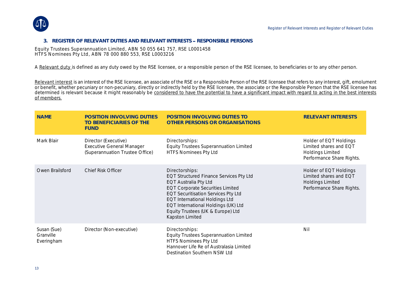

#### **3. REGISTER OF RELEVANT DUTIES AND RELEVANT INTERESTS RESPONSIBLE PERSONS**

Equity Trustees Superannuation Limited, ABN 50 055 641 757, RSE L0001458 HTFS Nominees Pty Ltd, ABN 78 000 880 553, RSE L0003216

A Relevant duty is defined as any duty owed by the RSE licensee, or a responsible person of the RSE licensee, to beneficiaries or to any other person.

Relevant interest is an interest of the RSE licensee, an associate of the RSE or a Responsible Person of the RSE licensee that refers to any interest, gift, emolument or benefit, whether pecuniary or non-pecuniary, directly or indirectly held by the RSE licensee, the associate or the Responsible Person that the RSE licensee has determined is relevant because it might reasonably be considered to have the potential to have a significant impact with regard to acting in the best interests of members.

| <b>NAME</b>                            | POSITION INVOLVING DUTIES<br>TO BENEFICIARIES OF THE<br><b>FUND</b>                         | POSITION INVOLVING DUTIES TO<br>OTHER PERSONS OR ORGANISATIONS                                                                                                                                                                                                                                                             | <b>RELEVANT INTERESTS</b>                                                                                |
|----------------------------------------|---------------------------------------------------------------------------------------------|----------------------------------------------------------------------------------------------------------------------------------------------------------------------------------------------------------------------------------------------------------------------------------------------------------------------------|----------------------------------------------------------------------------------------------------------|
| Mark Blair                             | Director (Executive)<br><b>Executive General Manager</b><br>(Superannuation Trustee Office) | Directorships:<br><b>Equity Trustees Superannuation Limited</b><br><b>HTFS Nominees Pty Ltd</b>                                                                                                                                                                                                                            | Holder of EQT Holdings<br>Limited shares and EQT<br><b>Holdings Limited</b><br>Performance Share Rights. |
| Owen Brailsford                        | <b>Chief Risk Officer</b>                                                                   | Directorships:<br><b>EQT Structured Finance Services Pty Ltd</b><br>EQT Australia Pty Ltd<br><b>EQT Corporate Securities Limited</b><br><b>EQT Securitisation Services Pty Ltd</b><br><b>EQT International Holdings Ltd</b><br>EQT International Holdings (UK) Ltd<br>Equity Trustees (UK & Europe) Ltd<br>Kapston Limited | Holder of EQT Holdings<br>Limited shares and EQT<br><b>Holdings Limited</b><br>Performance Share Rights. |
| Susan (Sue)<br>Granville<br>Everingham | Director (Non-executive)                                                                    | Directorships:<br><b>Equity Trustees Superannuation Limited</b><br><b>HTFS Nominees Pty Ltd</b><br>Hannover Life Re of Australasia Limited<br>Destination Southern NSW Ltd                                                                                                                                                 | Nil                                                                                                      |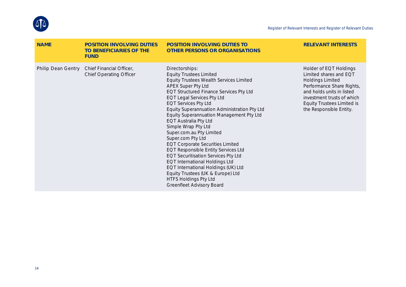

| <b>NAME</b> | POSITION INVOLVING DUTIES<br>TO BENEFICIARIES OF THE<br><b>FUND</b>           | POSITION INVOLVING DUTIES TO<br>OTHER PERSONS OR ORGANISATIONS                                                                                                                                                                                                                                                                                                                                                                                                                                                                                                                                                                                                                                                                                                | <b>RELEVANT INTERESTS</b>                                                                                                                                                                                                           |
|-------------|-------------------------------------------------------------------------------|---------------------------------------------------------------------------------------------------------------------------------------------------------------------------------------------------------------------------------------------------------------------------------------------------------------------------------------------------------------------------------------------------------------------------------------------------------------------------------------------------------------------------------------------------------------------------------------------------------------------------------------------------------------------------------------------------------------------------------------------------------------|-------------------------------------------------------------------------------------------------------------------------------------------------------------------------------------------------------------------------------------|
|             | Philip Dean Gentry Chief Financial Officer,<br><b>Chief Operating Officer</b> | Directorships:<br><b>Equity Trustees Limited</b><br>Equity Trustees Wealth Services Limited<br>APEX Super Pty Ltd<br><b>EQT Structured Finance Services Pty Ltd</b><br><b>EQT Legal Services Pty Ltd</b><br><b>EQT Services Pty Ltd</b><br>Equity Superannuation Administration Pty Ltd<br>Equity Superannuation Management Pty Ltd<br>EQT Australia Pty Ltd<br>Simple Wrap Pty Ltd<br>Super.com.au Pty Limited<br>Super.com Pty Ltd<br><b>EQT Corporate Securities Limited</b><br><b>EQT Responsible Entity Services Ltd</b><br><b>EQT Securitisation Services Pty Ltd</b><br><b>EQT International Holdings Ltd</b><br>EQT International Holdings (UK) Ltd<br>Equity Trustees (UK & Europe) Ltd<br><b>HTFS Holdings Pty Ltd</b><br>Greenfleet Advisory Board | Holder of EQT Holdings<br>Limited shares and EQT<br><b>Holdings Limited</b><br>Performance Share Rights,<br>and holds units in listed<br>investment trusts of which<br><b>Equity Trustees Limited is</b><br>the Responsible Entity. |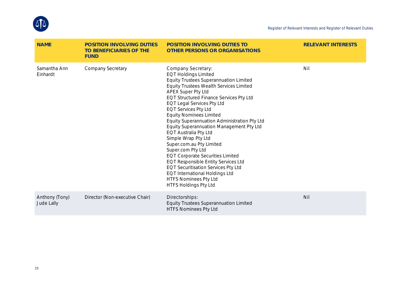

| <b>NAME</b>                  | POSITION INVOLVING DUTIES<br>TO BENEFICIARIES OF THE<br><b>FUND</b> | POSITION INVOLVING DUTIES TO<br>OTHER PERSONS OR ORGANISATIONS                                                                                                                                                                                                                                                                                                                                                                                                                                                                                                                                                                                                                                                                                      | <b>RELEVANT INTERESTS</b> |
|------------------------------|---------------------------------------------------------------------|-----------------------------------------------------------------------------------------------------------------------------------------------------------------------------------------------------------------------------------------------------------------------------------------------------------------------------------------------------------------------------------------------------------------------------------------------------------------------------------------------------------------------------------------------------------------------------------------------------------------------------------------------------------------------------------------------------------------------------------------------------|---------------------------|
| Samantha Ann<br>Einhardt     | Company Secretary                                                   | Company Secretary:<br><b>EQT Holdings Limited</b><br>Equity Trustees Superannuation Limited<br><b>Equity Trustees Wealth Services Limited</b><br>APEX Super Pty Ltd<br>EQT Structured Finance Services Pty Ltd<br><b>EQT Legal Services Pty Ltd</b><br><b>EQT Services Pty Ltd</b><br><b>Equity Nominees Limited</b><br>Equity Superannuation Administration Pty Ltd<br>Equity Superannuation Management Pty Ltd<br>EQT Australia Pty Ltd<br>Simple Wrap Pty Ltd<br>Super.com.au Pty Limited<br>Super.com Pty Ltd<br><b>EQT Corporate Securities Limited</b><br>EQT Responsible Entity Services Ltd<br><b>EQT Securitisation Services Pty Ltd</b><br><b>EQT International Holdings Ltd</b><br>HTFS Nominees Pty Ltd<br><b>HTFS Holdings Pty Ltd</b> | Nil                       |
| Anthony (Tony)<br>Jude Lally | Director (Non-executive Chair)                                      | Directorships:<br>Equity Trustees Superannuation Limited<br><b>HTFS Nominees Pty Ltd</b>                                                                                                                                                                                                                                                                                                                                                                                                                                                                                                                                                                                                                                                            | Nil                       |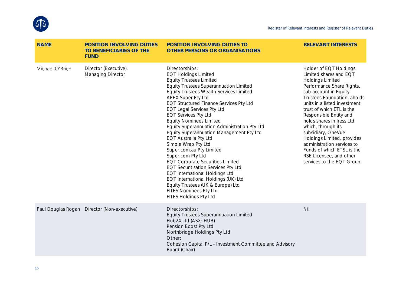

| <b>NAME</b>     | POSITION INVOLVING DUTIES<br>TO BENEFICIARIES OF THE<br><b>FUND</b> | POSITION INVOLVING DUTIES TO<br>OTHER PERSONS OR ORGANISATIONS                                                                                                                                                                                                                                                                                                                                                                                                                                                                                                                                                                                                                                                                                                                                                                              | <b>RELEVANT INTERESTS</b>                                                                                                                                                                                                                                                                                                                                                                                                                                                           |
|-----------------|---------------------------------------------------------------------|---------------------------------------------------------------------------------------------------------------------------------------------------------------------------------------------------------------------------------------------------------------------------------------------------------------------------------------------------------------------------------------------------------------------------------------------------------------------------------------------------------------------------------------------------------------------------------------------------------------------------------------------------------------------------------------------------------------------------------------------------------------------------------------------------------------------------------------------|-------------------------------------------------------------------------------------------------------------------------------------------------------------------------------------------------------------------------------------------------------------------------------------------------------------------------------------------------------------------------------------------------------------------------------------------------------------------------------------|
| Michael O'Brien | Director (Executive),<br>Managing Director                          | Directorships:<br><b>EQT Holdings Limited</b><br><b>Equity Trustees Limited</b><br><b>Equity Trustees Superannuation Limited</b><br><b>Equity Trustees Wealth Services Limited</b><br>APEX Super Pty Ltd<br><b>EQT Structured Finance Services Pty Ltd</b><br><b>EQT Legal Services Pty Ltd</b><br><b>EQT Services Pty Ltd</b><br><b>Equity Nominees Limited</b><br>Equity Superannuation Administration Pty Ltd<br>Equity Superannuation Management Pty Ltd<br>EQT Australia Pty Ltd<br>Simple Wrap Pty Ltd<br>Super.com.au Pty Limited<br>Super.com Pty Ltd<br><b>EQT Corporate Securities Limited</b><br><b>EQT Securitisation Services Pty Ltd</b><br><b>EQT International Holdings Ltd</b><br>EQT International Holdings (UK) Ltd<br>Equity Trustees (UK & Europe) Ltd<br><b>HTFS Nominees Pty Ltd</b><br><b>HTFS Holdings Pty Ltd</b> | Holder of EQT Holdings<br>Limited shares and EQT<br><b>Holdings Limited</b><br>Performance Share Rights,<br>sub account in Equity<br>Trustees Foundation, aholds<br>units in a listed investment<br>trust of which ETL is the<br>Responsible Entity and<br>holds shares in Iress Ltd<br>which, through its<br>subsidiary, OneVue<br>Holdings Limited, provides<br>administration services to<br>Funds of which ETSL is the<br>RSE Licensee, and other<br>services to the EQT Group. |
|                 | Paul Douglas Rogan Director (Non-executive)                         | Directorships:<br>Equity Trustees Superannuation Limited<br>Hub24 Ltd (ASX: HUB)<br>Pension Boost Pty Ltd<br>Northbridge Holdings Pty Ltd<br>Other:<br>Cohesion Capital P/L - Investment Committee and Advisory<br>Board (Chair)                                                                                                                                                                                                                                                                                                                                                                                                                                                                                                                                                                                                            | Nil                                                                                                                                                                                                                                                                                                                                                                                                                                                                                 |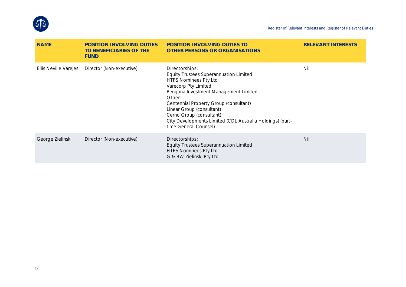

| <b>NAME</b>           | POSITION INVOLVING DUTIES<br>TO BENEFICIARIES OF THE<br><b>FUND</b> | POSITION INVOLVING DUTIES TO<br>OTHER PERSONS OR ORGANISATIONS                                                                                                                                                                                                                                                                                                      | <b>RELEVANT INTERESTS</b> |
|-----------------------|---------------------------------------------------------------------|---------------------------------------------------------------------------------------------------------------------------------------------------------------------------------------------------------------------------------------------------------------------------------------------------------------------------------------------------------------------|---------------------------|
| Ellis Neville Varejes | Director (Non-executive)                                            | Directorships:<br><b>Equity Trustees Superannuation Limited</b><br><b>HTFS Nominees Pty Ltd</b><br>Varecorp Pty Limited<br>Pengana Investment Management Limited<br>Other:<br>Centennial Property Group (consultant)<br>Linear Group (consultant)<br>Cerno Group (consultant)<br>City Developments Limited (CDL Australia Holdings) (part-<br>time General Counsel) | Nil                       |
| George Zielinski      | Director (Non-executive)                                            | Directorships:<br><b>Equity Trustees Superannuation Limited</b><br><b>HTFS Nominees Pty Ltd</b><br>G & BW Zielinski Pty Ltd                                                                                                                                                                                                                                         | <b>Nil</b>                |